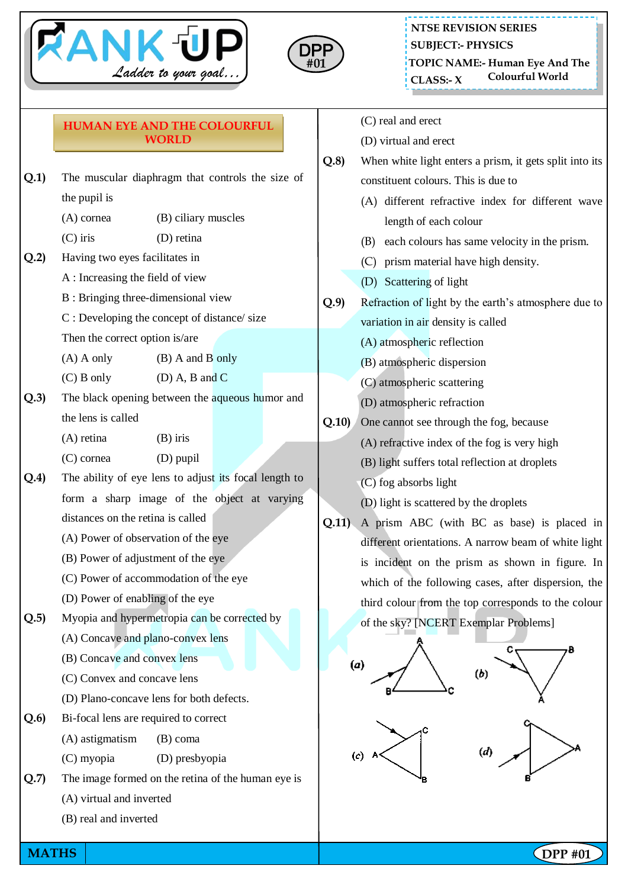



**TOPIC NAME:- Human Eye And The CLASS: Colourful World - X**

#### **HUMAN EYE AND THE COLOURFUL WORLD**

| Q.1) | The muscular diaphragm that controls the size of      |   |  |  |  |  |  |
|------|-------------------------------------------------------|---|--|--|--|--|--|
|      | the pupil is                                          |   |  |  |  |  |  |
|      | (A) cornea<br>(B) ciliary muscles                     |   |  |  |  |  |  |
|      | $(C)$ iris<br>(D) retina                              |   |  |  |  |  |  |
| Q.2) | Having two eyes facilitates in                        |   |  |  |  |  |  |
|      | A : Increasing the field of view                      |   |  |  |  |  |  |
|      | B : Bringing three-dimensional view                   |   |  |  |  |  |  |
|      | C : Developing the concept of distance/ size          |   |  |  |  |  |  |
|      | Then the correct option is/are                        |   |  |  |  |  |  |
|      | $(A)$ A only<br>$(B)$ A and B only                    |   |  |  |  |  |  |
|      | $(C)$ B only<br>$(D)$ A, B and C                      |   |  |  |  |  |  |
| Q.3) | The black opening between the aqueous humor and       |   |  |  |  |  |  |
|      | the lens is called                                    | ( |  |  |  |  |  |
|      | $(A)$ retina<br>$(B)$ iris                            |   |  |  |  |  |  |
|      | $(C)$ cornea<br>$(D)$ pupil                           |   |  |  |  |  |  |
| Q.4) | The ability of eye lens to adjust its focal length to |   |  |  |  |  |  |
|      | form a sharp image of the object at varying           |   |  |  |  |  |  |
|      | distances on the retina is called                     | ( |  |  |  |  |  |
|      | (A) Power of observation of the eye                   |   |  |  |  |  |  |
|      | (B) Power of adjustment of the eye                    |   |  |  |  |  |  |
|      | (C) Power of accommodation of the eye                 |   |  |  |  |  |  |
|      | (D) Power of enabling of the eye                      |   |  |  |  |  |  |
| Q.5  | Myopia and hypermetropia can be corrected by          |   |  |  |  |  |  |
|      | (A) Concave and plano-convex lens                     |   |  |  |  |  |  |
|      | (B) Concave and convex lens                           |   |  |  |  |  |  |
|      | (C) Convex and concave lens                           |   |  |  |  |  |  |
|      | (D) Plano-concave lens for both defects.              |   |  |  |  |  |  |
| Q.6  | Bi-focal lens are required to correct                 |   |  |  |  |  |  |
|      | (A) astigmatism<br>(B) coma                           |   |  |  |  |  |  |
|      | (C) myopia<br>(D) presbyopia                          |   |  |  |  |  |  |
| Q.7  | The image formed on the retina of the human eye is    |   |  |  |  |  |  |
|      | (A) virtual and inverted                              |   |  |  |  |  |  |
|      | (B) real and inverted                                 |   |  |  |  |  |  |

| (C) real and erect |
|--------------------|
|--------------------|

- (D) virtual and erect
- **Q.8)** When white light enters a prism, it gets split into its constituent colours. This is due to
	- (A) different refractive index for different wave length of each colour
	- (B) each colours has same velocity in the prism.
	- (C) prism material have high density.
	- (D) Scattering of light
- **Q.9)** Refraction of light by the earth's atmosphere due to variation in air density is called
	- (A) atmospheric reflection
	- (B) atmospheric dispersion
	- (C) atmospheric scattering
	- (D) atmospheric refraction
- **Q.10)** One cannot see through the fog, because
	- (A) refractive index of the fog is very high
	- (B) light suffers total reflection at droplets
	- (C) fog absorbs light
	- (D) light is scattered by the droplets
- **Q.11)** A prism ABC (with BC as base) is placed in different orientations. A narrow beam of white light is incident on the prism as shown in figure. In which of the following cases, after dispersion, the third colour from the top corresponds to the colour of the sky? [NCERT Exemplar Problems]









**MATHS** | **DPP #01**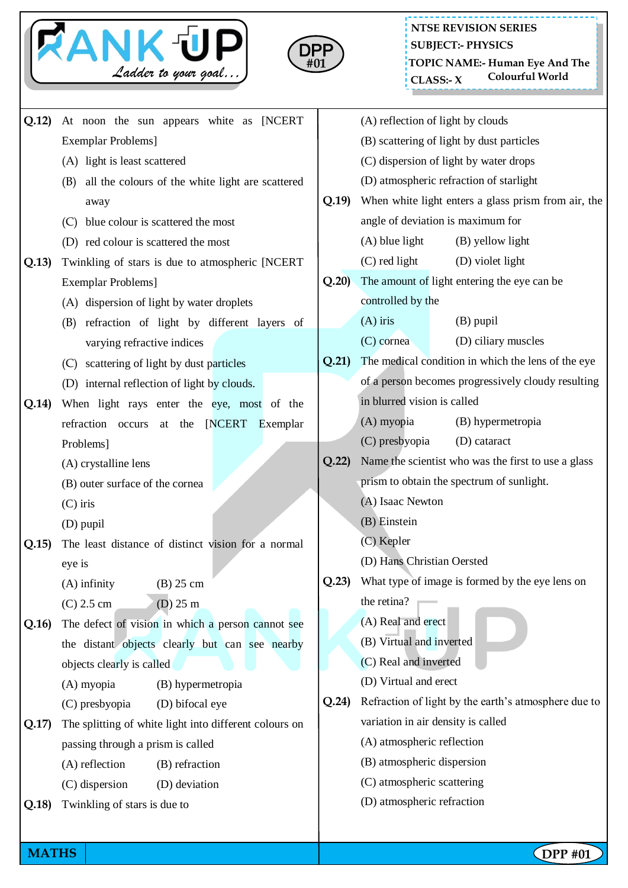



**TOPIC NAME:- Human Eye And The CLASS: Colourful World - X**

| Q.12) | At noon the sun appears white as [NCERT                 |       | (A) reflection of light by clouds                    |  |  |  |
|-------|---------------------------------------------------------|-------|------------------------------------------------------|--|--|--|
|       | Exemplar Problems]                                      |       | (B) scattering of light by dust particles            |  |  |  |
|       | (A) light is least scattered                            |       | (C) dispersion of light by water drops               |  |  |  |
|       | all the colours of the white light are scattered<br>(B) |       | (D) atmospheric refraction of starlight              |  |  |  |
|       | away                                                    |       | When white light enters a glass prism from air, the  |  |  |  |
|       | blue colour is scattered the most<br>(C)                |       | angle of deviation is maximum for                    |  |  |  |
|       | (D) red colour is scattered the most                    |       | $(A)$ blue light<br>(B) yellow light                 |  |  |  |
| Q.13) | Twinkling of stars is due to atmospheric [NCERT         |       | $(C)$ red light<br>(D) violet light                  |  |  |  |
|       | Exemplar Problems]                                      | Q.20  | The amount of light entering the eye can be          |  |  |  |
|       | (A) dispersion of light by water droplets               |       | controlled by the                                    |  |  |  |
|       | (B)<br>refraction of light by different layers of       |       | $(A)$ iris<br>$(B)$ pupil                            |  |  |  |
|       | varying refractive indices                              |       | (C) cornea<br>(D) ciliary muscles                    |  |  |  |
|       | scattering of light by dust particles<br>(C)            | Q.21) | The medical condition in which the lens of the eye   |  |  |  |
|       | (D) internal reflection of light by clouds.             |       | of a person becomes progressively cloudy resulting   |  |  |  |
| Q.14) | When light rays enter the eye, most of the              |       | in blurred vision is called                          |  |  |  |
|       | refraction occurs at the [NCERT Exemplar                |       | (B) hypermetropia<br>(A) myopia                      |  |  |  |
|       | Problems]                                               |       | (C) presbyopia<br>(D) cataract                       |  |  |  |
|       | (A) crystalline lens                                    | Q.22  | Name the scientist who was the first to use a glass  |  |  |  |
|       | (B) outer surface of the cornea                         |       | prism to obtain the spectrum of sunlight.            |  |  |  |
|       | $(C)$ iris                                              |       | (A) Isaac Newton                                     |  |  |  |
|       | (D) pupil                                               |       | (B) Einstein                                         |  |  |  |
| Q.15  | The least distance of distinct vision for a normal      |       | (C) Kepler                                           |  |  |  |
|       | eye is                                                  |       | (D) Hans Christian Oersted                           |  |  |  |
|       | $(A)$ infinity<br>$(B)$ 25 cm                           | Q.23  | What type of image is formed by the eye lens on      |  |  |  |
|       | $(C)$ 2.5 cm<br>$(D)$ 25 m                              |       | the retina?                                          |  |  |  |
| Q.16  | The defect of vision in which a person cannot see       |       | (A) Real and erect                                   |  |  |  |
|       | the distant objects clearly but can see nearby          |       | (B) Virtual and inverted                             |  |  |  |
|       | objects clearly is called                               |       | (C) Real and inverted                                |  |  |  |
|       | (A) myopia<br>(B) hypermetropia                         |       | (D) Virtual and erect                                |  |  |  |
|       | (C) presbyopia<br>(D) bifocal eye                       | Q.24) | Refraction of light by the earth's atmosphere due to |  |  |  |
| Q.17) | The splitting of white light into different colours on  |       | variation in air density is called                   |  |  |  |
|       | passing through a prism is called                       |       | (A) atmospheric reflection                           |  |  |  |
|       | (B) refraction<br>(A) reflection                        |       | (B) atmospheric dispersion                           |  |  |  |
|       | (C) dispersion<br>(D) deviation                         |       | (C) atmospheric scattering                           |  |  |  |
| Q.18) | Twinkling of stars is due to                            |       | (D) atmospheric refraction                           |  |  |  |
|       |                                                         |       |                                                      |  |  |  |

**MATHS** DPP #01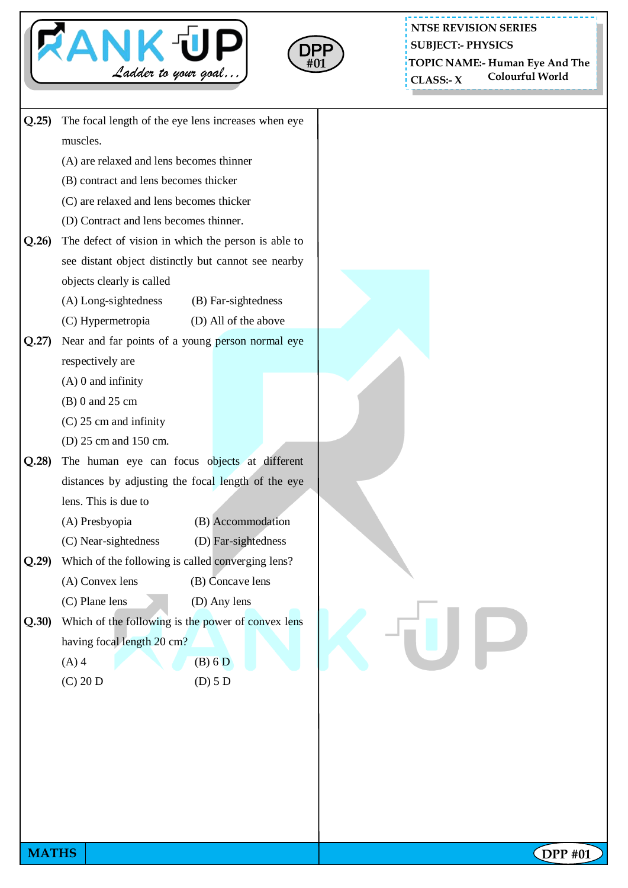



------------------------

**TOPIC NAME:- Human Eye And The CLASS: Colourful World - X**

| Q.25  |                                                                                                                                 |                      |  |  |
|-------|---------------------------------------------------------------------------------------------------------------------------------|----------------------|--|--|
|       | The focal length of the eye lens increases when eye                                                                             |                      |  |  |
|       | muscles.                                                                                                                        |                      |  |  |
|       | (A) are relaxed and lens becomes thinner                                                                                        |                      |  |  |
|       | (B) contract and lens becomes thicker                                                                                           |                      |  |  |
|       | (C) are relaxed and lens becomes thicker                                                                                        |                      |  |  |
|       | (D) Contract and lens becomes thinner.                                                                                          |                      |  |  |
| Q.26  | The defect of vision in which the person is able to                                                                             |                      |  |  |
|       | see distant object distinctly but cannot see nearby<br>objects clearly is called<br>(A) Long-sightedness<br>(B) Far-sightedness |                      |  |  |
|       |                                                                                                                                 |                      |  |  |
|       |                                                                                                                                 |                      |  |  |
|       | (C) Hypermetropia                                                                                                               | (D) All of the above |  |  |
| Q.27  | Near and far points of a young person normal eye                                                                                |                      |  |  |
|       | respectively are                                                                                                                |                      |  |  |
|       | $(A)$ 0 and infinity                                                                                                            |                      |  |  |
|       | (B) 0 and 25 cm                                                                                                                 |                      |  |  |
|       | $(C)$ 25 cm and infinity                                                                                                        |                      |  |  |
|       | (D) 25 cm and 150 cm.                                                                                                           |                      |  |  |
| Q.28  | The human eye can focus objects at different                                                                                    |                      |  |  |
|       | distances by adjusting the focal length of the eye                                                                              |                      |  |  |
|       | lens. This is due to                                                                                                            |                      |  |  |
|       | (A) Presbyopia                                                                                                                  | (B) Accommodation    |  |  |
|       | (C) Near-sightedness                                                                                                            | (D) Far-sightedness  |  |  |
| Q.29  | Which of the following is called converging lens?                                                                               |                      |  |  |
|       | (A) Convex lens                                                                                                                 | (B) Concave lens     |  |  |
|       | (C) Plane lens                                                                                                                  | (D) Any lens         |  |  |
| Q.30) | Which of the following is the power of convex lens                                                                              |                      |  |  |
|       | having focal length 20 cm?                                                                                                      |                      |  |  |
|       |                                                                                                                                 |                      |  |  |
|       | $(A)$ 4                                                                                                                         | (B) 6 D              |  |  |